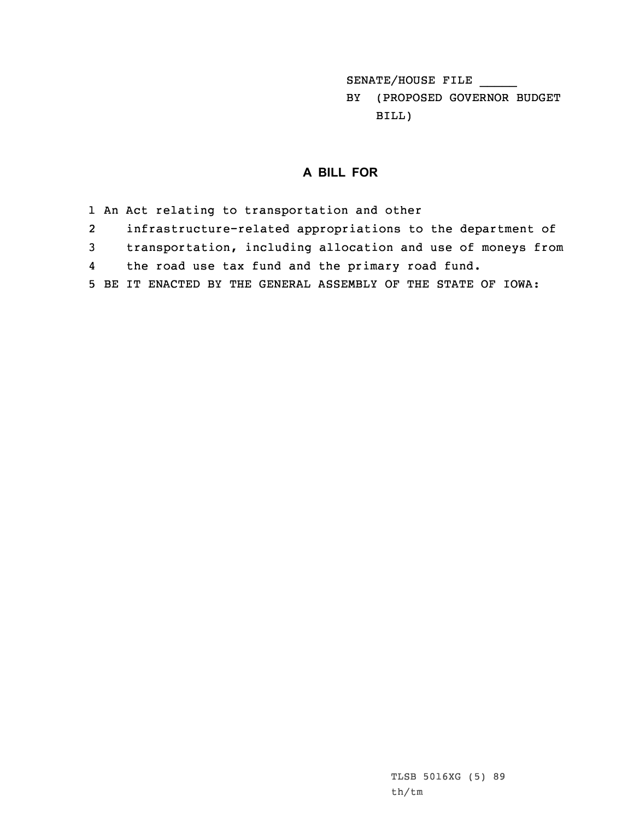SENATE/HOUSE FILE \_\_\_\_\_

BY (PROPOSED GOVERNOR BUDGET BILL)

## **A BILL FOR**

- 1 An Act relating to transportation and other
- 2infrastructure-related appropriations to the department of
- 3 transportation, including allocation and use of moneys from
- 4the road use tax fund and the primary road fund.
- 5 BE IT ENACTED BY THE GENERAL ASSEMBLY OF THE STATE OF IOWA: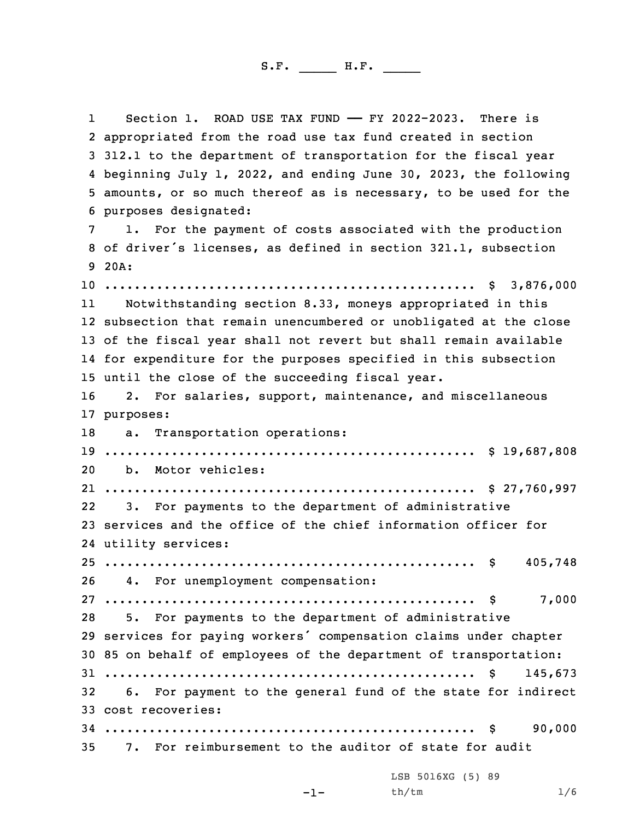1Section 1. ROAD USE TAX FUND - FY 2022-2023. There is appropriated from the road use tax fund created in section 312.1 to the department of transportation for the fiscal year beginning July 1, 2022, and ending June 30, 2023, the following amounts, or so much thereof as is necessary, to be used for the purposes designated: 1. For the payment of costs associated with the production of driver's licenses, as defined in section 321.1, subsection 9 20A: .................................................. \$ 3,876,000 11 Notwithstanding section 8.33, moneys appropriated in this subsection that remain unencumbered or unobligated at the close of the fiscal year shall not revert but shall remain available for expenditure for the purposes specified in this subsection until the close of the succeeding fiscal year. 2. For salaries, support, maintenance, and miscellaneous purposes: a. Transportation operations: .................................................. \$ 19,687,808 b. Motor vehicles: .................................................. \$ 27,760,997 22 3. For payments to the department of administrative services and the office of the chief information officer for utility services: .................................................. \$ 405,748 4. For unemployment compensation: .................................................. \$ 7,000 5. For payments to the department of administrative services for paying workers' compensation claims under chapter 85 on behalf of employees of the department of transportation: .................................................. \$ 145,673 6. For payment to the general fund of the state for indirect cost recoveries: .................................................. \$ 90,000 7. For reimbursement to the auditor of state for audit LSB 5016XG (5) 89

 $-1-$ 

th/tm 1/6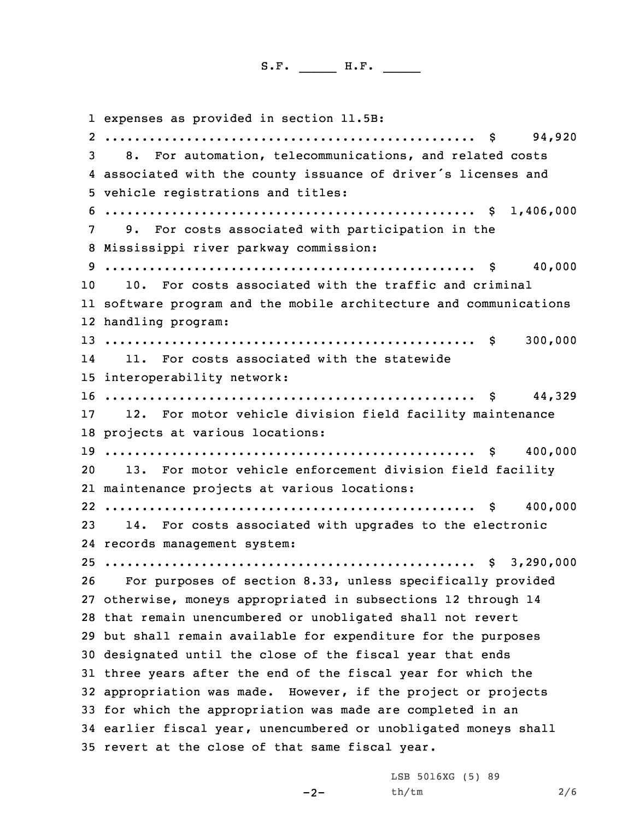expenses as provided in section 11.5B: .................................................. \$ 94,920 8. For automation, telecommunications, and related costs associated with the county issuance of driver's licenses and vehicle registrations and titles: .................................................. \$ 1,406,000 9. For costs associated with participation in the Mississippi river parkway commission: .................................................. \$ 40,000 10. For costs associated with the traffic and criminal software program and the mobile architecture and communications handling program: .................................................. \$ 300,000 14 11. For costs associated with the statewide interoperability network: .................................................. \$ 44,329 12. For motor vehicle division field facility maintenance projects at various locations: .................................................. \$ 400,000 13. For motor vehicle enforcement division field facility maintenance projects at various locations: .................................................. \$ 400,000 14. For costs associated with upgrades to the electronic records management system: .................................................. \$ 3,290,000 For purposes of section 8.33, unless specifically provided otherwise, moneys appropriated in subsections 12 through 14 that remain unencumbered or unobligated shall not revert but shall remain available for expenditure for the purposes designated until the close of the fiscal year that ends three years after the end of the fiscal year for which the appropriation was made. However, if the project or projects for which the appropriation was made are completed in an earlier fiscal year, unencumbered or unobligated moneys shall revert at the close of that same fiscal year.

 $-2-$ 

LSB 5016XG (5) 89 th/tm 2/6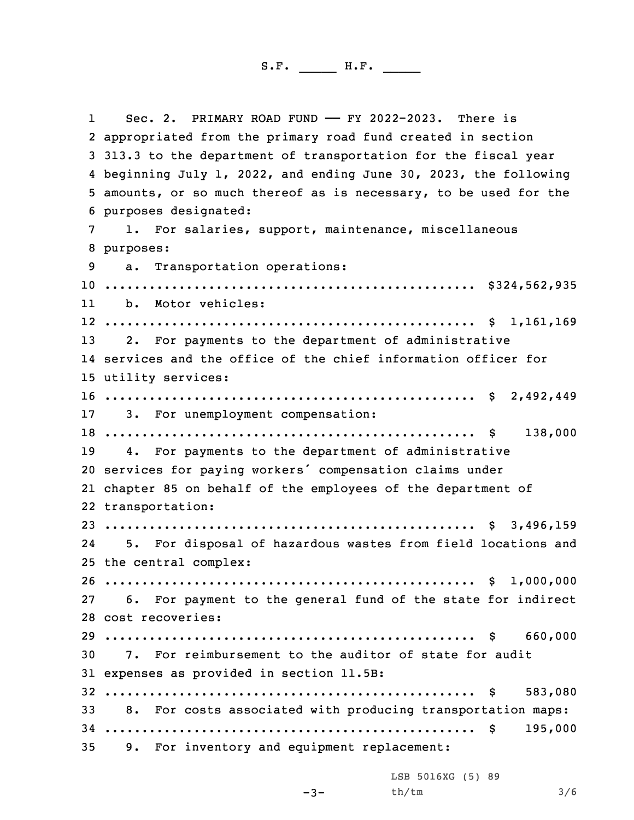1 Sec. 2. PRIMARY ROAD FUND —— FY 2022-2023. There is appropriated from the primary road fund created in section 313.3 to the department of transportation for the fiscal year beginning July 1, 2022, and ending June 30, 2023, the following amounts, or so much thereof as is necessary, to be used for the purposes designated: 1. For salaries, support, maintenance, miscellaneous purposes: a. Transportation operations: .................................................. \$324,562,935 11 b. Motor vehicles: .................................................. \$ 1,161,169 2. For payments to the department of administrative services and the office of the chief information officer for utility services: .................................................. \$ 2,492,449 3. For unemployment compensation: .................................................. \$ 138,000 4. For payments to the department of administrative services for paying workers' compensation claims under chapter 85 on behalf of the employees of the department of transportation: .................................................. \$ 3,496,159 24 5. For disposal of hazardous wastes from field locations and the central complex: .................................................. \$ 1,000,000 6. For payment to the general fund of the state for indirect cost recoveries: .................................................. \$ 660,000 7. For reimbursement to the auditor of state for audit expenses as provided in section 11.5B: .................................................. \$ 583,080 8. For costs associated with producing transportation maps: .................................................. \$ 195,000 9. For inventory and equipment replacement:

LSB 5016XG (5) 89

 $-3-$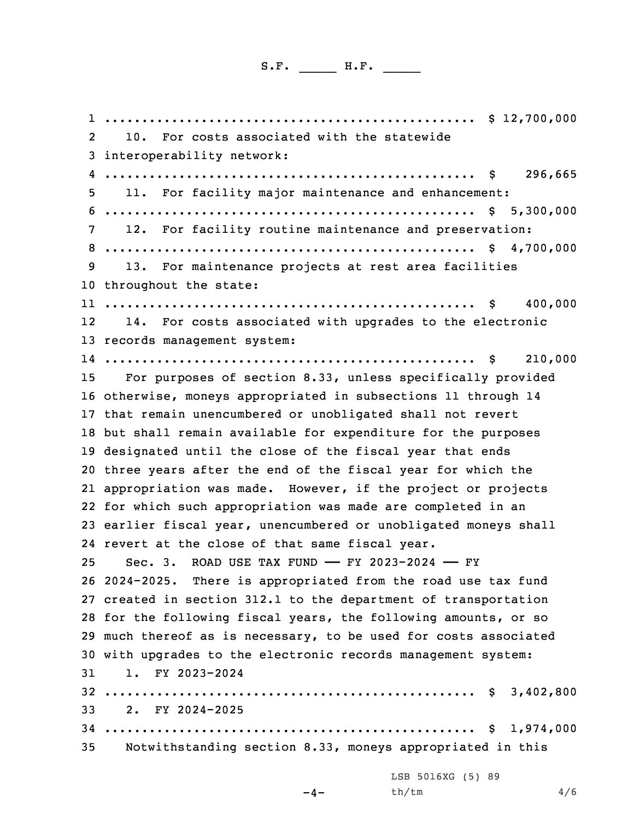.................................................. \$ 12,700,000 2 10. For costs associated with the statewide interoperability network: .................................................. \$ 296,665 11. For facility major maintenance and enhancement: .................................................. \$ 5,300,000 12. For facility routine maintenance and preservation: .................................................. \$ 4,700,000 13. For maintenance projects at rest area facilities throughout the state: .................................................. \$ 400,000 12 14. For costs associated with upgrades to the electronic records management system: .................................................. \$ 210,000 For purposes of section 8.33, unless specifically provided otherwise, moneys appropriated in subsections 11 through 14 that remain unencumbered or unobligated shall not revert but shall remain available for expenditure for the purposes designated until the close of the fiscal year that ends three years after the end of the fiscal year for which the appropriation was made. However, if the project or projects for which such appropriation was made are completed in an earlier fiscal year, unencumbered or unobligated moneys shall revert at the close of that same fiscal year. Sec. 3. ROAD USE TAX FUND —— FY 2023-2024 —— FY 2024-2025. There is appropriated from the road use tax fund created in section 312.1 to the department of transportation for the following fiscal years, the following amounts, or so much thereof as is necessary, to be used for costs associated with upgrades to the electronic records management system: 1. FY 2023-2024 .................................................. \$ 3,402,800 2. FY 2024-2025 .................................................. \$ 1,974,000 Notwithstanding section 8.33, moneys appropriated in this

LSB 5016XG (5) 89 th/tm 4/6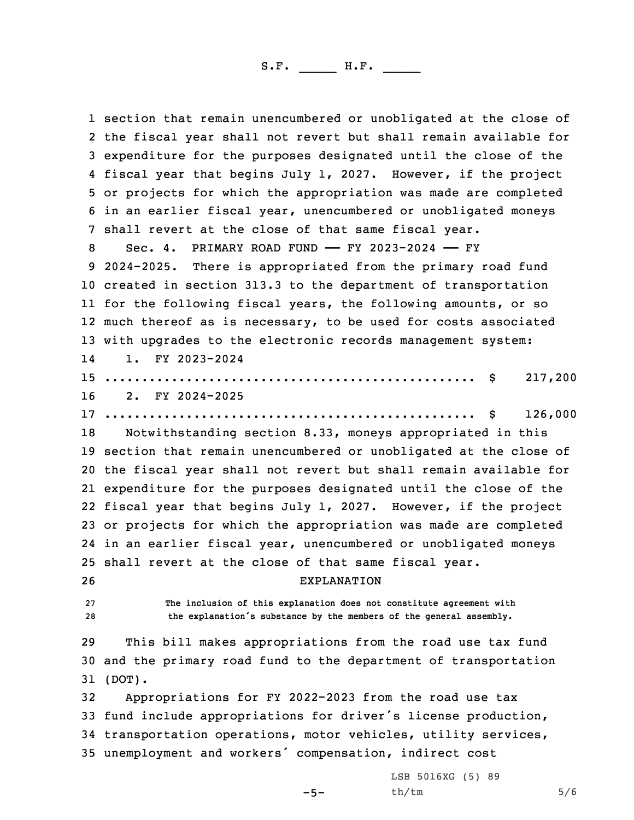section that remain unencumbered or unobligated at the close of the fiscal year shall not revert but shall remain available for expenditure for the purposes designated until the close of the fiscal year that begins July 1, 2027. However, if the project or projects for which the appropriation was made are completed in an earlier fiscal year, unencumbered or unobligated moneys shall revert at the close of that same fiscal year. Sec. 4. PRIMARY ROAD FUND —— FY 2023-2024 —— FY 2024-2025. There is appropriated from the primary road fund created in section 313.3 to the department of transportation for the following fiscal years, the following amounts, or so much thereof as is necessary, to be used for costs associated with upgrades to the electronic records management system: 14 1. FY 2023-2024 .................................................. \$ 217,200 2. FY 2024-2025 .................................................. \$ 126,000 Notwithstanding section 8.33, moneys appropriated in this section that remain unencumbered or unobligated at the close of the fiscal year shall not revert but shall remain available for expenditure for the purposes designated until the close of the fiscal year that begins July 1, 2027. However, if the project or projects for which the appropriation was made are completed in an earlier fiscal year, unencumbered or unobligated moneys shall revert at the close of that same fiscal year. EXPLANATION **The inclusion of this explanation does not constitute agreement with the explanation's substance by the members of the general assembly.** This bill makes appropriations from the road use tax fund and the primary road fund to the department of transportation 31 (DOT). Appropriations for FY 2022-2023 from the road use tax fund include appropriations for driver's license production, transportation operations, motor vehicles, utility services, unemployment and workers' compensation, indirect cost

 $-5-$ 

LSB 5016XG (5) 89 th/tm 5/6